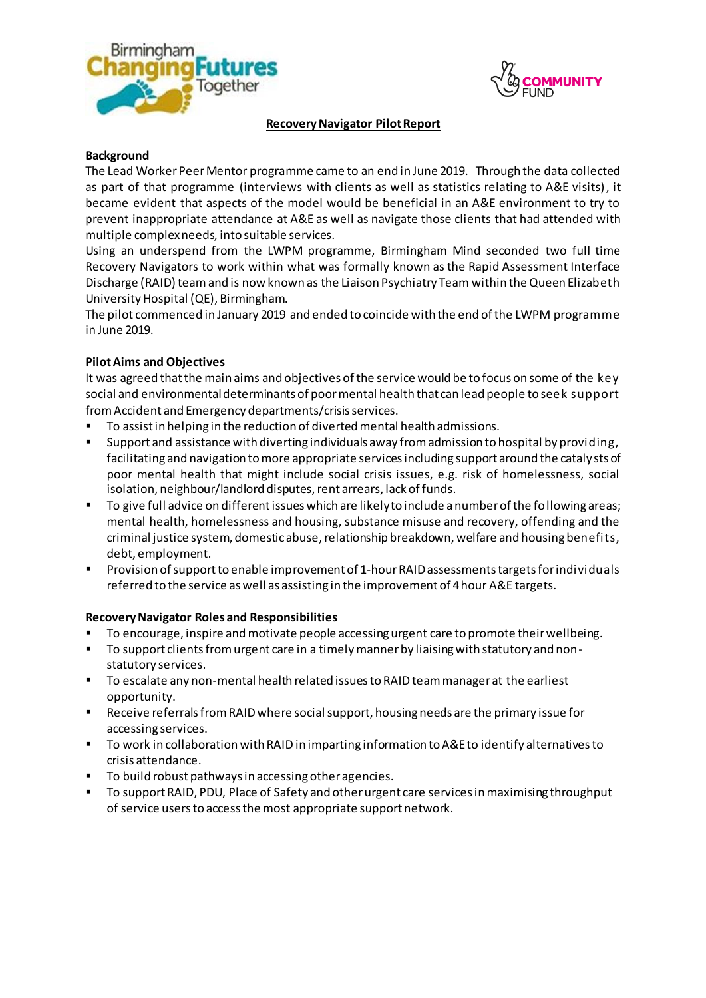



#### **RecoveryNavigator Pilot Report**

#### **Background**

The Lead Worker Peer Mentor programme came to an end in June 2019. Through the data collected as part of that programme (interviews with clients as well as statistics relating to A&E visits), it became evident that aspects of the model would be beneficial in an A&E environment to try to prevent inappropriate attendance at A&E as well as navigate those clients that had attended with multiple complex needs, into suitable services.

Using an underspend from the LWPM programme, Birmingham Mind seconded two full time Recovery Navigators to work within what was formally known as the Rapid Assessment Interface Discharge (RAID) teamand is now known as the Liaison Psychiatry Team within the Queen Elizabeth University Hospital (QE), Birmingham.

The pilot commenced in January 2019 and ended to coincide with the end of the LWPM programme in June 2019.

### **Pilot Aims and Objectives**

It was agreed that the main aims and objectives of the service would be to focus on some of the key social and environmental determinants of poor mental health that can lead people to seek support from Accident and Emergency departments/crisis services.

- To assist in helping in the reduction of diverted mental health admissions.
- Support and assistance with diverting individuals away from admission to hospital by providing, facilitating and navigation to more appropriate services including support around the catalysts of poor mental health that might include social crisis issues, e.g. risk of homelessness, social isolation, neighbour/landlord disputes, rent arrears, lack of funds.
- To give full advice on different issues which are likely to include a number of the following areas; mental health, homelessness and housing, substance misuse and recovery, offending and the criminal justice system, domestic abuse, relationship breakdown, welfare and housing benefits, debt, employment.
- Provision of support to enable improvement of 1-hour RAID assessments targets for individuals referred to the service as well as assisting in the improvement of 4 hour A&E targets.

#### **Recovery Navigator Roles and Responsibilities**

- To encourage, inspire and motivate people accessing urgent care to promote their wellbeing.
- To support clients from urgent care in a timely manner by liaising with statutory and nonstatutory services.
- **T** To escalate any non-mental health related issues to RAID team manager at the earliest opportunity.
- Receive referrals from RAIDwhere social support, housing needs are the primary issue for accessing services.
- To work in collaboration with RAID in imparting information to A&E to identify alternatives to crisis attendance.
- **To build robust pathways in accessing other agencies.**
- To support RAID, PDU, Place of Safety and other urgent care services in maximising throughput of service users to access the most appropriate support network.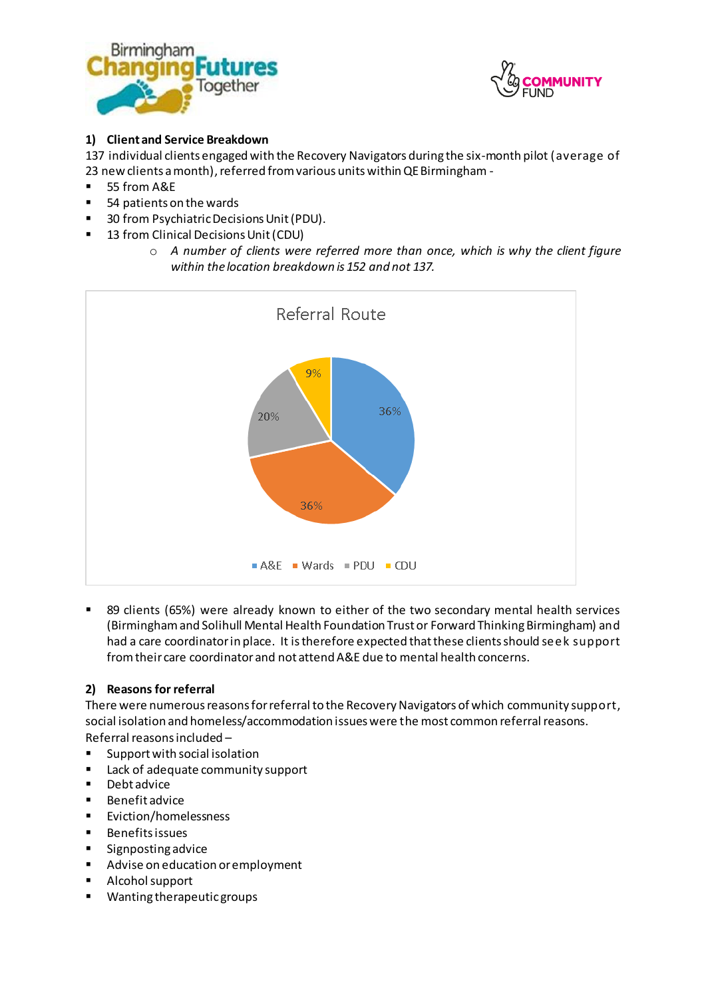



# **1) Client and Service Breakdown**

137 individual clients engaged with the Recovery Navigators during the six-month pilot (average of 23 new clients a month), referred from various units within QE Birmingham -

- 55 from A&E
- 54 patients on the wards
- 30 from Psychiatric Decisions Unit (PDU).
- 13 from Clinical Decisions Unit (CDU)
	- o *A number of clients were referred more than once, which is why the client figure within the location breakdown is 152 and not 137.*



 89 clients (65%) were already known to either of the two secondary mental health services (Birmingham and Solihull Mental Health Foundation Trust or Forward Thinking Birmingham) and had a care coordinator in place. It is therefore expected that these clients should seek support from their care coordinator and not attend A&E due to mental health concerns.

### **2) Reasons for referral**

There were numerous reasons for referral to the Recovery Navigators of which community support, social isolation and homeless/accommodation issues were the most common referral reasons. Referral reasons included –

- Support with social isolation
- Lack of adequate community support
- Debt advice
- **Benefit advice**
- **Eviction/homelessness**
- **Benefits issues**
- **Signposting advice**
- Advise on education or employment
- **Alcohol support**
- Wanting therapeutic groups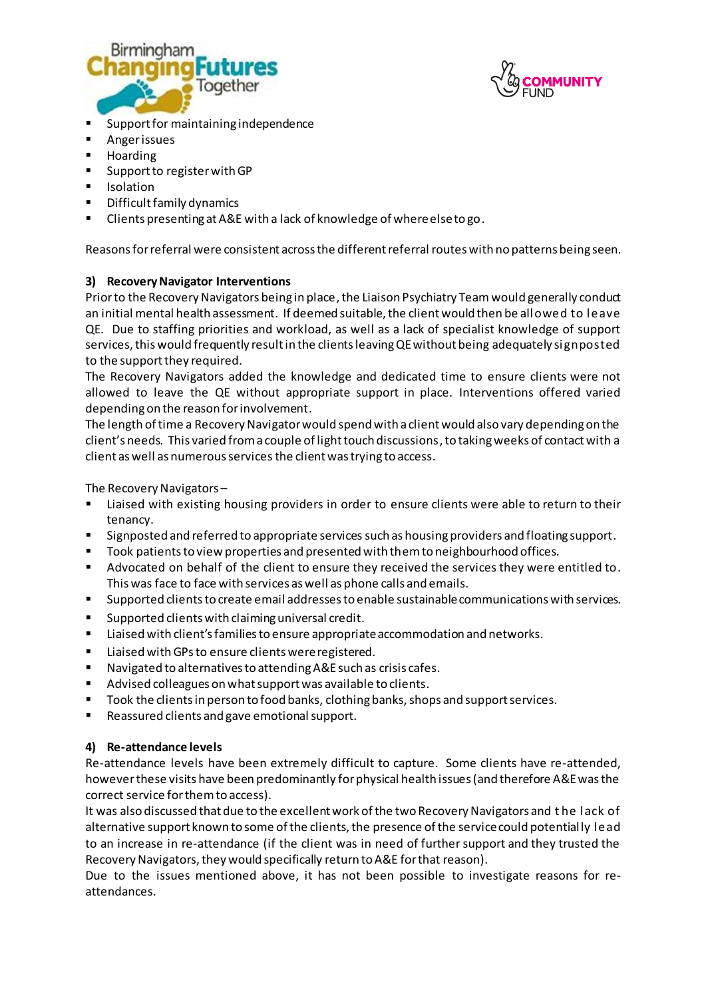



- Support for maintaining independence
- **Anger issues**
- **Hoarding**
- **Support to register with GP**
- **I**solation
- **•** Difficult family dynamics
- Clients presenting at A&E with a lack of knowledge of where else to go.

Reasons for referral were consistent across the different referral routes with no patterns being seen.

### **3) Recovery Navigator Interventions**

Prior to the Recovery Navigators being in place, the Liaison Psychiatry Team would generally conduct an initial mental health assessment. If deemed suitable, the client would then be allowed to leave QE. Due to staffing priorities and workload, as well as a lack of specialist knowledge of support services, this would frequently result in the clients leaving QE without being adequately signposted to the support they required.

The Recovery Navigators added the knowledge and dedicated time to ensure clients were not allowed to leave the QE without appropriate support in place. Interventions offered varied depending on the reason for involvement.

The length of time a Recovery Navigator would spend with a client would also vary depending on the client's needs. This varied from a couple of light touch discussions,to taking weeks of contact with a client as well as numerous servicesthe client was trying to access.

The Recovery Navigators –

- Liaised with existing housing providers in order to ensure clients were able to return to their tenancy.
- **Signposted and referred to appropriate services such as housing providers and floating support.**
- **Took patients to view properties and presented with them to neighbourhood offices.**
- Advocated on behalf of the client to ensure they received the services they were entitled to. This was face to face with services as well as phone calls and emails.
- Supported clientsto create email addresses to enable sustainable communications with services.
- $\blacksquare$  Supported clients with claiming universal credit.
- Liaised with client's families to ensure appropriate accommodation and networks.
- **E** Liaised with GPs to ensure clients were registered.
- Navigated to alternatives to attending A&E such as crisis cafes.
- Advised colleagues on what support was available to clients.
- **Took the clients in person to food banks, clothing banks, shops and support services.**
- Reassured clients and gave emotional support.

### **4) Re-attendance levels**

Re-attendance levels have been extremely difficult to capture. Some clients have re-attended, however these visits have been predominantly for physical health issues (and therefore A&E was the correct service for them to access).

It was also discussed that due to the excellent work of the two Recovery Navigators and t he lack of alternative support known to some of the clients, the presence of the service could potentially lead to an increase in re-attendance (if the client was in need of further support and they trusted the Recovery Navigators, they would specifically return to A&E for that reason).

Due to the issues mentioned above, it has not been possible to investigate reasons for reattendances.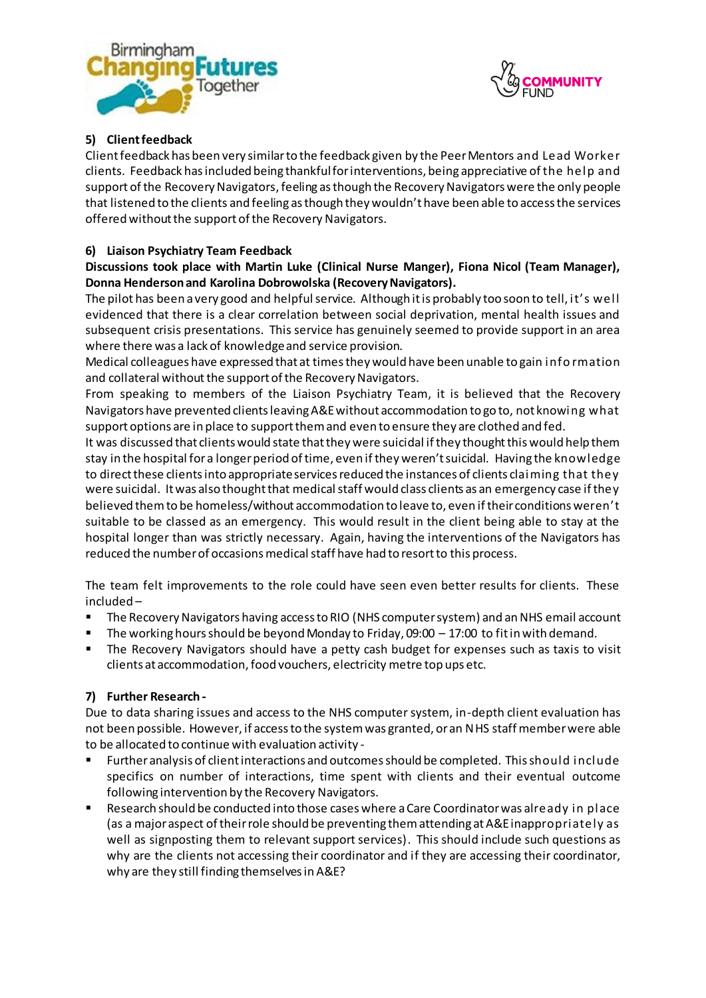



# **5) Clientfeedback**

Client feedback has been very similar to the feedback given by the Peer Mentors and Lead Worker clients. Feedback has included being thankful for interventions, being appreciative of the help and support of the Recovery Navigators, feeling as though the Recovery Navigators were the only people that listened to the clients and feeling as though they wouldn't have been able to access the services offered without the support of the Recovery Navigators.

### **6) Liaison Psychiatry Team Feedback**

# **Discussions took place with Martin Luke (Clinical Nurse Manger), Fiona Nicol (Team Manager), Donna Henderson and Karolina Dobrowolska (Recovery Navigators).**

The pilot has been a very good and helpful service. Although it is probably too soon to tell, it's well evidenced that there is a clear correlation between social deprivation, mental health issues and subsequent crisis presentations. This service has genuinely seemed to provide support in an area where there was a lack of knowledge and service provision.

Medical colleagues have expressed that at times they would have been unable to gain info rmation and collateral without the support of the Recovery Navigators.

From speaking to members of the Liaison Psychiatry Team, it is believed that the Recovery Navigators have prevented clients leaving A&E without accommodation to go to, not knowing what support options are in place to support them and even to ensure they are clothed and fed.

It was discussed that clients would state that they were suicidal if they thought this would help them stay in the hospital for a longer period of time, even if they weren't suicidal. Having the knowledge to direct these clients into appropriate services reduced the instances of clients claiming that they were suicidal. It was also thought that medical staff would class clients as an emergency case if they believed them to be homeless/without accommodation to leave to, even if their conditions weren't suitable to be classed as an emergency. This would result in the client being able to stay at the hospital longer than was strictly necessary. Again, having the interventions of the Navigators has reduced the number of occasions medical staff have had to resort to this process.

The team felt improvements to the role could have seen even better results for clients. These included –

- The Recovery Navigators having access to RIO (NHS computer system) and an NHS email account
- The working hours should be beyond Monday to Friday, 09:00 17:00 to fit in with demand.
- The Recovery Navigators should have a petty cash budget for expenses such as taxis to visit clients at accommodation, food vouchers, electricity metre top ups etc.

### **7) Further Research -**

Due to data sharing issues and access to the NHS computer system, in-depth client evaluation has not been possible. However, if access to the system was granted, or an NHS staff member were able to be allocated to continue with evaluation activity -

- Further analysis of client interactions and outcomes should be completed. This should include specifics on number of interactions, time spent with clients and their eventual outcome following intervention by the Recovery Navigators.
- Research should be conducted into those cases where a Care Coordinator was already in place (as a major aspect of their role should be preventing them attending at A&E inappropriately as well as signposting them to relevant support services). This should include such questions as why are the clients not accessing their coordinator and if they are accessing their coordinator, why are they still finding themselves in A&E?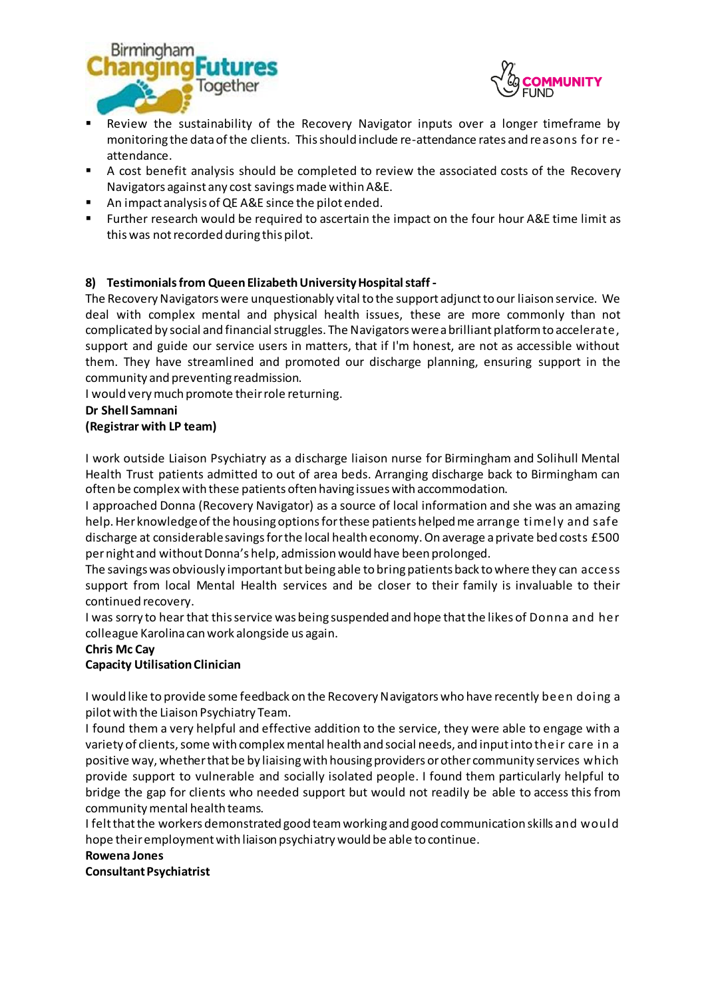



- Review the sustainability of the Recovery Navigator inputs over a longer timeframe by monitoring the data of the clients. This should include re-attendance rates and reasons for re attendance.
- A cost benefit analysis should be completed to review the associated costs of the Recovery Navigators against any cost savings made within A&E.
- An impact analysis of QE A&E since the pilot ended.
- Further research would be required to ascertain the impact on the four hour A&E time limit as this was not recorded during this pilot.

### **8) Testimonialsfrom Queen Elizabeth University Hospital staff -**

The Recovery Navigators were unquestionably vital to the support adjunct to our liaison service. We deal with complex mental and physical health issues, these are more commonly than not complicated by social and financial struggles. The Navigators were a brilliant platform to accelerate, support and guide our service users in matters, that if I'm honest, are not as accessible without them. They have streamlined and promoted our discharge planning, ensuring support in the community and preventing readmission.

I would very much promote their role returning.

### **Dr Shell Samnani**

### **(Registrar with LP team)**

I work outside Liaison Psychiatry as a discharge liaison nurse for Birmingham and Solihull Mental Health Trust patients admitted to out of area beds. Arranging discharge back to Birmingham can often be complex with these patients often having issues with accommodation.

I approached Donna (Recovery Navigator) as a source of local information and she was an amazing help. Her knowledge of the housing options for these patients helped me arrange timely and safe discharge at considerable savings for the local health economy. On average a private bed costs £500 per night and without Donna's help, admission would have been prolonged.

The savings was obviously important but being able to bring patients back to where they can access support from local Mental Health services and be closer to their family is invaluable to their continued recovery.

I was sorry to hear that this service was being suspended and hope that the likes of Donna and her colleague Karolina can work alongside us again.

### **Chris Mc Cay**

# **Capacity Utilisation Clinician**

I would like to provide some feedback on the Recovery Navigators who have recently been doing a pilot with the Liaison Psychiatry Team.

I found them a very helpful and effective addition to the service, they were able to engage with a variety of clients, some with complex mental health and social needs, and input into their care in a positive way, whether that be by liaising with housing providers or other community services which provide support to vulnerable and socially isolated people. I found them particularly helpful to bridge the gap for clients who needed support but would not readily be able to access this from community mental health teams.

I felt that the workers demonstrated good team working and good communication skills and would hope their employment with liaison psychiatry would be able to continue.

#### **Rowena Jones**

**Consultant Psychiatrist**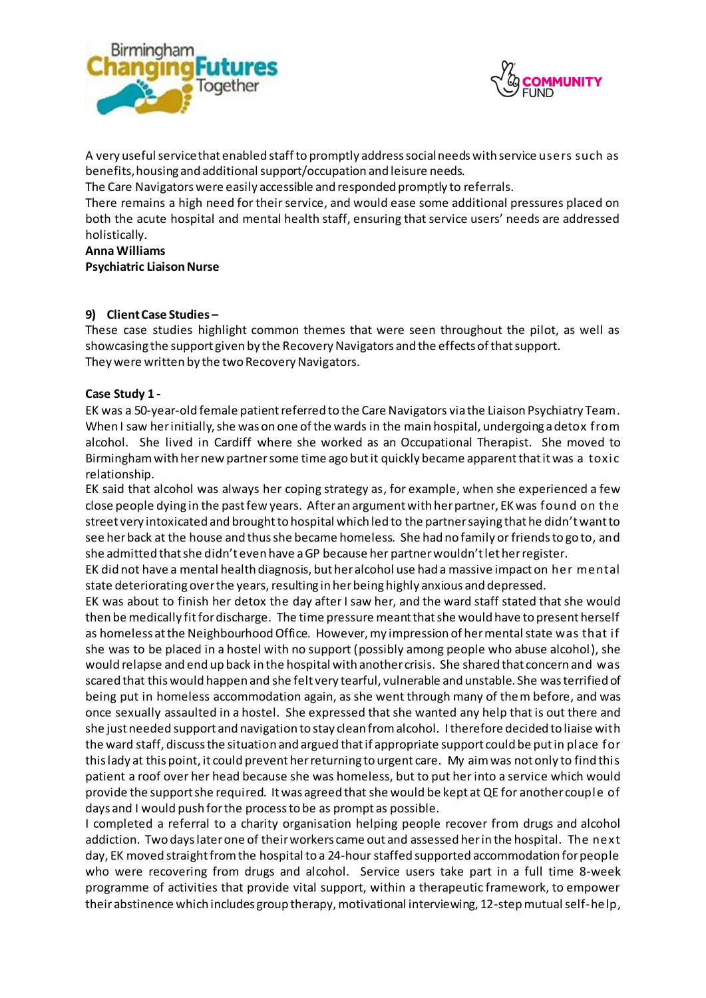



A very useful service that enabled staff to promptly address social needs with service users such as benefits, housing and additional support/occupation and leisure needs.

The Care Navigators were easily accessible and responded promptly to referrals.

There remains a high need for their service, and would ease some additional pressures placed on both the acute hospital and mental health staff, ensuring that service users' needs are addressed holistically.

**Anna Williams**

**Psychiatric Liaison Nurse**

### **9) Client Case Studies –**

These case studies highlight common themes that were seen throughout the pilot, as well as showcasing the support given by the Recovery Navigators and the effects of that support. They were written by the two Recovery Navigators.

### **Case Study 1 -**

EK was a 50-year-old female patient referred to the Care Navigators via the Liaison Psychiatry Team. When I saw her initially, she was on one of the wards in the main hospital, undergoing a detox from alcohol. She lived in Cardiff where she worked as an Occupational Therapist. She moved to Birmingham with her new partner some time ago but it quickly became apparent that it was a toxic relationship.

EK said that alcohol was always her coping strategy as, for example, when she experienced a few close people dying in the past few years. After an argument with her partner, EK was found on the street very intoxicated and brought to hospital which led to the partner saying that he didn't want to see her back at the house and thus she became homeless. She had no family or friends to go to, and she admitted that she didn't even have a GP because her partner wouldn't let her register.

EK did not have a mental health diagnosis, but her alcohol use had a massive impact on her mental state deteriorating over the years, resulting in her being highly anxious and depressed.

EK was about to finish her detox the day after I saw her, and the ward staff stated that she would then be medically fit for discharge. The time pressure meant that she would have to present herself as homeless at the Neighbourhood Office. However, my impression of her mental state was that if she was to be placed in a hostel with no support (possibly among people who abuse alcohol), she would relapse and end up back in the hospital with another crisis. She shared that concern and was scared that this would happen and she felt very tearful, vulnerable and unstable. She was terrified of being put in homeless accommodation again, as she went through many of them before, and was once sexually assaulted in a hostel. She expressed that she wanted any help that is out there and she just needed support and navigation to stay clean from alcohol. I therefore decided to liaise with the ward staff, discuss the situation and argued that if appropriate support could be put in place for this lady at this point, it could prevent her returning to urgent care. My aim was not only to find this patient a roof over her head because she was homeless, but to put her into a service which would provide the support she required. It was agreed that she would be kept at QE for another couple of days and I would push for the process to be as prompt as possible.

I completed a referral to a charity organisation helping people recover from drugs and alcohol addiction. Two days later one of their workers came out and assessed her in the hospital. The next day, EK moved straight from the hospital to a 24-hourstaffed supported accommodation for people who were recovering from drugs and alcohol. Service users take part in a full time 8-week programme of activities that provide vital support, within a therapeutic framework, to empower their abstinence which includes group therapy, motivational interviewing, 12-step mutual self-help,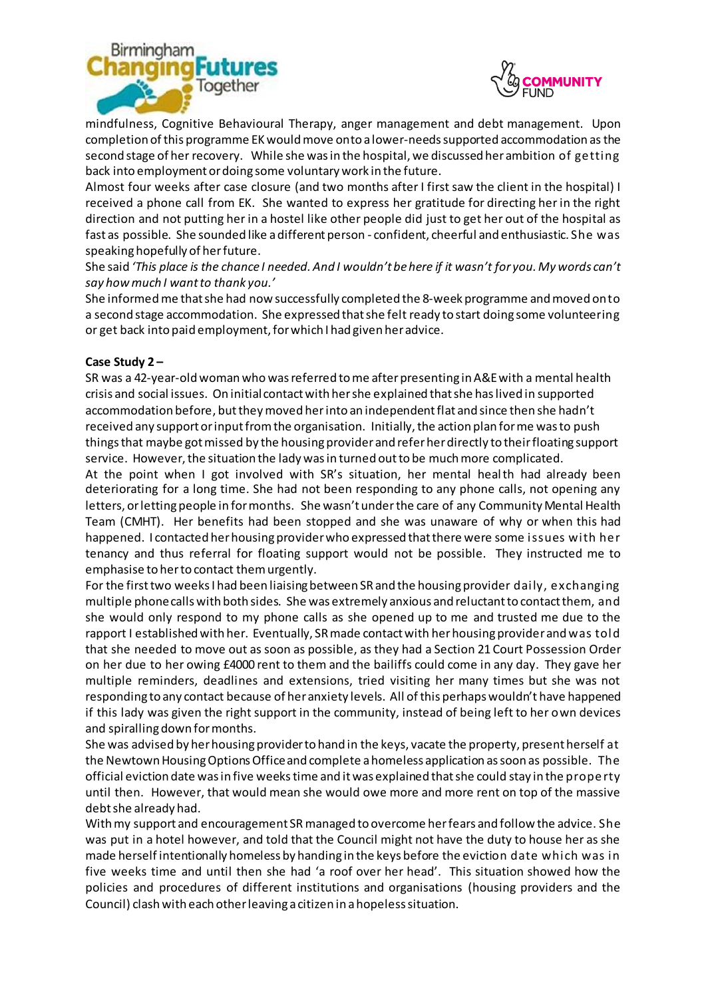



mindfulness, Cognitive Behavioural Therapy, anger management and debt management. Upon completion of this programme EK would move onto a lower-needs supported accommodation as the second stage of her recovery. While she was in the hospital, we discussed her ambition of getting back into employment or doing some voluntary work in the future.

Almost four weeks after case closure (and two months after I first saw the client in the hospital) I received a phone call from EK. She wanted to express her gratitude for directing her in the right direction and not putting her in a hostel like other people did just to get her out of the hospital as fast as possible. She sounded like a different person - confident, cheerful and enthusiastic. She was speaking hopefully of her future.

She said *'This place is the chance I needed. And I wouldn't be here if it wasn't for you. My words can't say how much I want to thank you.'*

She informed me that she had now successfully completed the 8-week programme and moved onto a second stage accommodation. She expressed that she felt ready to start doing some volunteering or get back into paid employment, for which I had given her advice.

### **Case Study 2 –**

SR was a 42-year-old woman who was referred to me after presenting in A&E with a mental health crisis and social issues. On initial contact with her she explained that she has lived in supported accommodation before, but they moved her into an independent flat and since then she hadn't received any support or input from the organisation. Initially, the action plan for me was to push things that maybe got missed by the housing provider and refer her directly to their floating support service. However, the situation the lady was in turned out to be much more complicated.

At the point when I got involved with SR's situation, her mental health had already been deteriorating for a long time. She had not been responding to any phone calls, not opening any letters, or letting people in for months. She wasn't under the care of any Community Mental Health Team (CMHT). Her benefits had been stopped and she was unaware of why or when this had happened. I contacted her housing provider who expressed that there were some issues with her tenancy and thus referral for floating support would not be possible. They instructed me to emphasise to her to contact them urgently.

For the first two weeks I had been liaising between SR and the housing provider daily, exchanging multiple phone calls with both sides. She was extremely anxious and reluctant to contact them, and she would only respond to my phone calls as she opened up to me and trusted me due to the rapport I established with her. Eventually, SR made contact with her housing provider and was told that she needed to move out as soon as possible, as they had a Section 21 Court Possession Order on her due to her owing £4000 rent to them and the bailiffs could come in any day. They gave her multiple reminders, deadlines and extensions, tried visiting her many times but she was not responding to any contact because of her anxiety levels. All of this perhaps wouldn't have happened if this lady was given the right support in the community, instead of being left to her own devices and spiralling down for months.

She was advised by her housing provider to hand in the keys, vacate the property, present herself at the Newtown Housing Options Office and complete a homeless application as soon as possible. The official eviction date was in five weekstime and it was explained that she could stay in the property until then. However, that would mean she would owe more and more rent on top of the massive debt she already had.

With my support and encouragement SR managed to overcome her fears and follow the advice. She was put in a hotel however, and told that the Council might not have the duty to house her as she made herself intentionally homeless by handing in the keys before the eviction date which was in five weeks time and until then she had 'a roof over her head'. This situation showed how the policies and procedures of different institutions and organisations (housing providers and the Council) clash with each other leaving a citizen in a hopeless situation.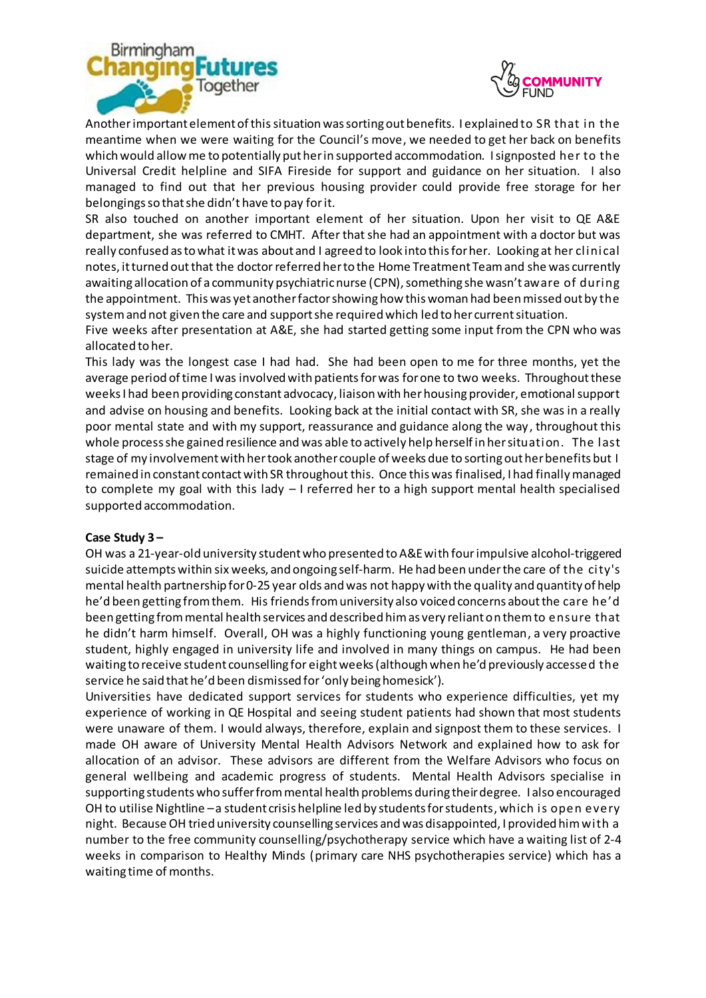



Another important element of thissituation was sorting out benefits. I explained to SR that in the meantime when we were waiting for the Council's move, we needed to get her back on benefits which would allow me to potentially put her in supported accommodation. I signposted her to the Universal Credit helpline and SIFA Fireside for support and guidance on her situation. I also managed to find out that her previous housing provider could provide free storage for her belongings so that she didn't have to pay forit.

SR also touched on another important element of her situation. Upon her visit to QE A&E department, she was referred to CMHT. After that she had an appointment with a doctor but was really confused as to what it was about and I agreed to look into this for her. Looking at her clinical notes, it turned out that the doctor referred her to the Home Treatment Team and she was currently awaiting allocation of a community psychiatric nurse (CPN), something she wasn't aware of during the appointment. This was yet another factor showing how this woman had been missed out by the system and not given the care and support she required which led to her current situation.

Five weeks after presentation at A&E, she had started getting some input from the CPN who was allocated to her.

This lady was the longest case I had had. She had been open to me for three months, yet the average period of time I was involved with patients for was for one to two weeks. Throughout these weeks I had been providing constant advocacy, liaison with her housing provider, emotional support and advise on housing and benefits. Looking back at the initial contact with SR, she was in a really poor mental state and with my support, reassurance and guidance along the way, throughout this whole process she gained resilience and was able to actively help herself in her situation. The last stage of my involvement with her took another couple of weeks due to sorting out her benefits but I remained in constant contact with SR throughout this. Once this was finalised, I had finally managed to complete my goal with this lady – I referred her to a high support mental health specialised supported accommodation.

#### **Case Study 3 –**

OH was a 21-year-old university student who presented to A&E with fourimpulsive alcohol-triggered suicide attempts within six weeks, and ongoing self-harm. He had been under the care of the city's mental health partnership for 0-25 year olds and was not happy with the quality and quantity of help he'd been getting from them. His friends from university also voiced concerns about the care he'd been getting from mental health services and described him as very reliant on them to ensure that he didn't harm himself. Overall, OH was a highly functioning young gentleman, a very proactive student, highly engaged in university life and involved in many things on campus. He had been waiting to receive student counselling for eightweeks (although when he'd previously accessed the service he said that he'd been dismissed for 'only being homesick').

Universities have dedicated support services for students who experience difficulties, yet my experience of working in QE Hospital and seeing student patients had shown that most students were unaware of them. I would always, therefore, explain and signpost them to these services. I made OH aware of University Mental Health Advisors Network and explained how to ask for allocation of an advisor. These advisors are different from the Welfare Advisors who focus on general wellbeing and academic progress of students. Mental Health Advisors specialise in supporting students who suffer from mental health problems during their degree. I also encouraged OH to utilise Nightline –a student crisis helpline led by students for students, which is open every night. Because OH tried university counselling services and was disappointed, I provided him with a number to the free community counselling/psychotherapy service which have a waiting list of 2-4 weeks in comparison to Healthy Minds (primary care NHS psychotherapies service) which has a waiting time of months.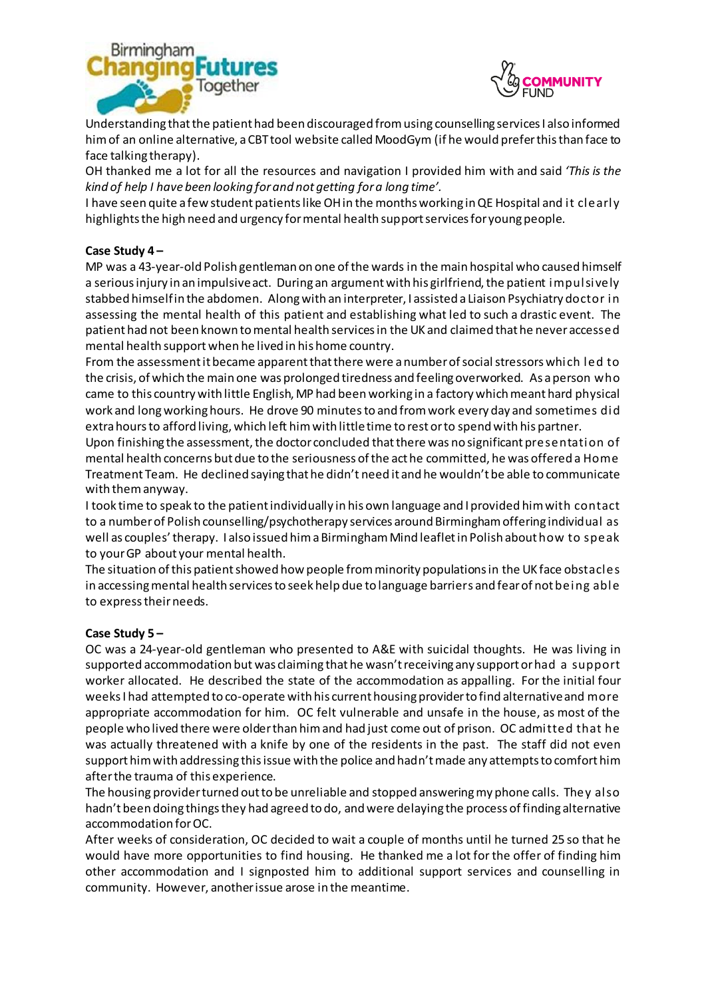



Understanding that the patient had been discouraged from using counselling services I also informed him of an online alternative, a CBT tool website called MoodGym (if he would prefer this than face to face talking therapy).

OH thanked me a lot for all the resources and navigation I provided him with and said *'This is the kind of help I have been looking for and not getting for a long time'.*

I have seen quite a few student patients like OH in the months working in QE Hospital and it clearly highlights the high need and urgency for mental health support services for young people.

### **Case Study 4 –**

MP was a 43-year-old Polish gentleman on one of the wards in the main hospital who caused himself a serious injury in an impulsive act. During an argument with his girlfriend, the patient impulsively stabbed himself in the abdomen. Along with an interpreter, I assisted a Liaison Psychiatry doctor in assessing the mental health of this patient and establishing what led to such a drastic event. The patient had not been known to mental health services in the UK and claimed that he never accessed mental health support when he lived in his home country.

From the assessment it became apparent that there were a number of social stressors which led to the crisis, of which the main one was prolonged tiredness and feeling overworked. As a person who came to this country with little English, MP had been working in a factory which meant hard physical work and long working hours. He drove 90 minutesto and from work every day and sometimes did extra hours to afford living, which left him with little time to rest or to spend with his partner.

Upon finishing the assessment, the doctor concluded that there was no significant presentation of mental health concerns but due to the seriousness of the act he committed, he was offered a Home Treatment Team. He declined saying that he didn't need it and he wouldn't be able to communicate with them anyway.

I took time to speak to the patient individually in his own language and I provided him with contact to a number of Polish counselling/psychotherapy services around Birmingham offering individual as well as couples'therapy. I also issued him a Birmingham Mind leaflet in Polish about how to speak to your GP about your mental health.

The situation of this patient showed how people from minority populations in the UK face obstacles in accessing mental health services to seek help due to language barriers and fear of not being able to express their needs.

### **Case Study 5 –**

OC was a 24-year-old gentleman who presented to A&E with suicidal thoughts. He was living in supported accommodation but was claiming that he wasn't receiving any support or had a support worker allocated. He described the state of the accommodation as appalling. For the initial four weeks I had attempted to co-operate with his current housing provider to find alternative and more appropriate accommodation for him. OC felt vulnerable and unsafe in the house, as most of the people who lived there were older than him and had just come out of prison. OC admitted that he was actually threatened with a knife by one of the residents in the past. The staff did not even support him with addressing this issue with the police and hadn't made any attempts to comfort him after the trauma of this experience.

The housing provider turned out to be unreliable and stopped answering my phone calls. They also hadn't been doing things they had agreed to do, and were delaying the process of finding alternative accommodation for OC.

After weeks of consideration, OC decided to wait a couple of months until he turned 25 so that he would have more opportunities to find housing. He thanked me a lot for the offer of finding him other accommodation and I signposted him to additional support services and counselling in community. However, another issue arose in the meantime.